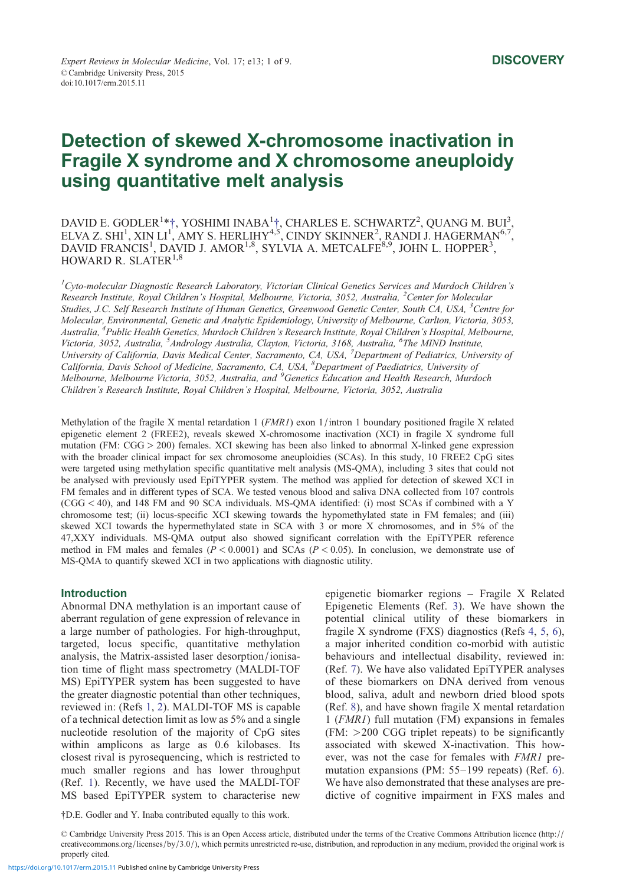# Detection of skewed X-chromosome inactivation in Fragile X syndrome and X chromosome aneuploidy using quantitative melt analysis

DAVID E. GODLER<sup>1</sup>\*†, YOSHIMI INABA<sup>1</sup>†, CHARLES E. SCHWARTZ<sup>2</sup>, QUANG M. BUI<sup>3</sup>, ELVA Z. SHI<sup>1</sup>, XIN LI<sup>1'</sup>, AMY S. HERLIHY<sup>4,5'</sup>, CINDY SKINNER<sup>2</sup>, RANDI J. HAGERMAN<sup>6,7'</sup>, DAVID FRANCIS<sup>1</sup>, DAVID J. AMOR<sup>1,8</sup>, SYLVIA A. METCALFE<sup>8,9</sup>, JOHN L. HOPPER<sup>3</sup>, HOWARD R. SLATER $^{1,8}$ 

 ${}^{1}$ Cyto-molecular Diagnostic Research Laboratory, Victorian Clinical Genetics Services and Murdoch Children's Research Institute, Royal Children's Hospital, Melbourne, Victoria, 3052, Australia, <sup>2</sup>Center for Molecular Studies, J.C. Self Research Institute of Human Genetics, Greenwood Genetic Center, South CA, USA, <sup>3</sup>Centre for Molecular, Environmental, Genetic and Analytic Epidemiology, University of Melbourne, Carlton, Victoria, 3053, Australia, <sup>4</sup> Public Health Genetics, Murdoch Children's Research Institute, Royal Children's Hospital, Melbourne, Victoria, 3052, Australia, <sup>5</sup>Andrology Australia, Clayton, Victoria, 3168, Australia, <sup>6</sup>The MIND Institute, University of California, Davis Medical Center, Sacramento, CA, USA, <sup>7</sup>Department of Pediatrics, University of California, Davis School of Medicine, Sacramento, CA, USA, <sup>8</sup>Department of Paediatrics, University of Melbourne, Melbourne Victoria, 3052, Australia, and <sup>9</sup>Genetics Education and Health Research, Murdoch Children's Research Institute, Royal Children's Hospital, Melbourne, Victoria, 3052, Australia

Methylation of the fragile X mental retardation 1 (FMR1) exon 1/intron 1 boundary positioned fragile X related epigenetic element 2 (FREE2), reveals skewed X-chromosome inactivation (XCI) in fragile X syndrome full mutation (FM: CGG > 200) females. XCI skewing has been also linked to abnormal X-linked gene expression with the broader clinical impact for sex chromosome aneuploidies (SCAs). In this study, 10 FREE2 CpG sites were targeted using methylation specific quantitative melt analysis (MS-QMA), including 3 sites that could not be analysed with previously used EpiTYPER system. The method was applied for detection of skewed XCI in FM females and in different types of SCA. We tested venous blood and saliva DNA collected from 107 controls (CGG < 40), and 148 FM and 90 SCA individuals. MS-QMA identified: (i) most SCAs if combined with a Y chromosome test; (ii) locus-specific XCI skewing towards the hypomethylated state in FM females; and (iii) skewed XCI towards the hypermethylated state in SCA with 3 or more X chromosomes, and in 5% of the 47,XXY individuals. MS-QMA output also showed significant correlation with the EpiTYPER reference method in FM males and females ( $P < 0.0001$ ) and SCAs ( $P < 0.05$ ). In conclusion, we demonstrate use of MS-QMA to quantify skewed XCI in two applications with diagnostic utility.

#### **Introduction**

Abnormal DNA methylation is an important cause of aberrant regulation of gene expression of relevance in a large number of pathologies. For high-throughput, targeted, locus specific, quantitative methylation analysis, the Matrix-assisted laser desorption/ionisation time of flight mass spectrometry (MALDI-TOF MS) EpiTYPER system has been suggested to have the greater diagnostic potential than other techniques, reviewed in: (Refs 1, 2). MALDI-TOF MS is capable of a technical detection limit as low as 5% and a single nucleotide resolution of the majority of CpG sites within amplicons as large as 0.6 kilobases. Its closest rival is pyr[oseq](#page-7-0)uencing, which is restricted to much smaller regions and has lower throughput (Ref. 1). Recently, we have used the MALDI-TOF MS based EpiTYPER system to characterise new

epigenetic biomarker regions – Fragile X Related Epigenetic Elements (Ref. 3). We have shown the potential clinical utility of these biomarkers in fragile X syndrome (FXS) diagnostics (Refs 4, 5, 6), a major inherited condition co-morbid with autistic behaviours and intellectual [d](#page-7-0)isability, reviewed in: (Ref. 7). We have also validated EpiTYPER analyses of these biomarkers on DNA derived from [v](#page-7-0)[enou](#page-8-0)s blood, saliva, adult and newborn dried blood spots (Ref. 8), and have shown fragile X mental retardation 1 (F[MR](#page-8-0)1) full mutation (FM) expansions in females (FM: >200 CGG triplet repeats) to be significantly associated with skewed X-inactivation. This however, [w](#page-8-0)as not the case for females with FMR1 premutation expansions (PM: 55–199 repeats) (Ref. 6). We have also demonstrated that these analyses are predictive of cognitive impairment in FXS males and

†D.E. Godler and Y. Inaba contributed equally to this work.

© Cam[bri](#page-7-0)dge University Press 2015. This is an Open Access article, distributed under the terms of the Creative Commons Attribution licence (http:// creativecommons.org/licenses/by/3.0/), which permits unrestricted re-use, distribution, and reproduction in any medium, provided the original work is properly cited.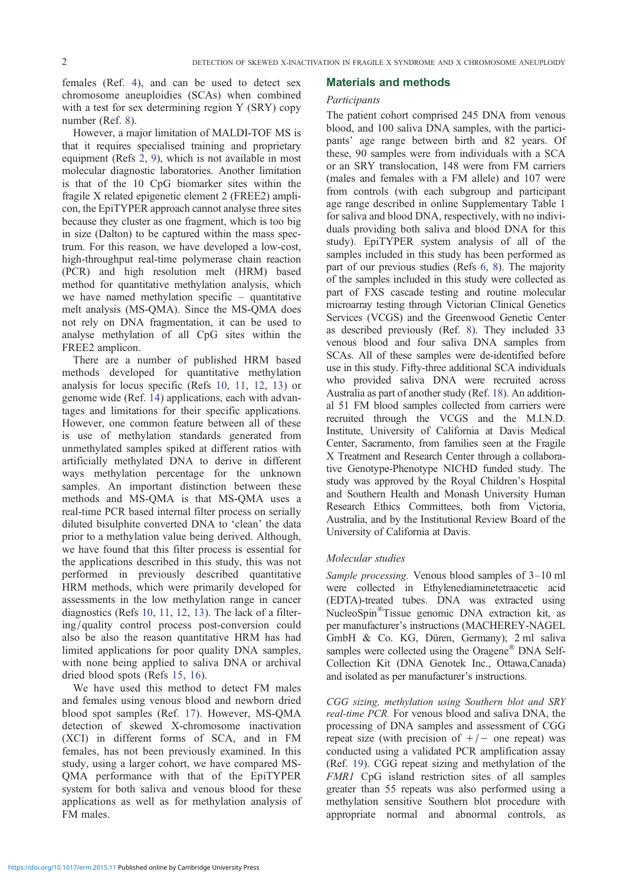females (Ref. 4), and can be used to detect sex chromosome aneuploidies (SCAs) when combined with a test for sex determining region Y (SRY) copy number (Ref. 8).

However, a [ma](#page-7-0)jor limitation of MALDI-TOF MS is that it requires specialised training and proprietary equipment (Refs 2, 9), which is not available in most molecular dia[gn](#page-8-0)ostic laboratories. Another limitation is that of the 10 CpG biomarker sites within the fragile X related epigenetic element 2 (FREE2) amplicon, the EpiTYP[ER](#page-7-0) [ap](#page-8-0)proach cannot analyse three sites because they cluster as one fragment, which is too big in size (Dalton) to be captured within the mass spectrum. For this reason, we have developed a low-cost, high-throughput real-time polymerase chain reaction (PCR) and high resolution melt (HRM) based method for quantitative methylation analysis, which we have named methylation specific – quantitative melt analysis (MS-QMA). Since the MS-QMA does not rely on DNA fragmentation, it can be used to analyse methylation of all CpG sites within the FREE2 amplicon.

There are a number of published HRM based methods developed for quantitative methylation analysis for locus specific (Refs 10, 11, 12, 13) or genome wide (Ref. 14) applications, each with advantages and limitations for their specific applications. However, one common feature between all of these is use of methylation standar[ds](#page-8-0) [generate](#page-8-0)d [fr](#page-8-0)om unmethylated sam[ples](#page-8-0) spiked at different ratios with artificially methylated DNA to derive in different ways methylation percentage for the unknown samples. An important distinction between these methods and MS-QMA is that MS-QMA uses a real-time PCR based internal filter process on serially diluted bisulphite converted DNA to 'clean' the data prior to a methylation value being derived. Although, we have found that this filter process is essential for the applications described in this study, this was not performed in previously described quantitative HRM methods, which were primarily developed for assessments in the low methylation range in cancer diagnostics (Refs 10, 11, 12, 13). The lack of a filtering/quality control process post-conversion could also be also the reason quantitative HRM has had limited applications for poor quality DNA samples, with none being [ap](#page-8-0)p[lied to sal](#page-8-0)iva DNA or archival dried blood spots (Refs 15, 16).

We have used this method to detect FM males and females using venous blood and newborn dried blood spot samples (Ref. 17). However, MS-QMA detection of skewed [X-](#page-8-0)c[hro](#page-8-0)mosome inactivation (XCI) in different forms of SCA, and in FM females, has not been previously examined. In this study, using a larger cohor[t, w](#page-8-0)e have compared MS-QMA performance with that of the EpiTYPER system for both saliva and venous blood for these applications as well as for methylation analysis of FM males.

#### Materials and methods

#### Participants

The patient cohort comprised 245 DNA from venous blood, and 100 saliva DNA samples, with the participants' age range between birth and 82 years. Of these, 90 samples were from individuals with a SCA or an SRY translocation, 148 were from FM carriers (males and females with a FM allele) and 107 were from controls (with each subgroup and participant age range described in online Supplementary Table 1 for saliva and blood DNA, respectively, with no individuals providing both saliva and blood DNA for this study). EpiTYPER system analysis of all of the samples included in this study has been performed as part of our previous studies (Refs 6, 8). The majority of the samples included in this study were collected as part of FXS cascade testing and routine molecular microarray testing through Victorian Clinical Genetics Services (VCGS) and the Greenw[ood](#page-8-0) Genetic Center as described previously (Ref. 8). They included 33 venous blood and four saliva DNA samples from SCAs. All of these samples were de-identified before use in this study. Fifty-three additional SCA individuals who provided saliva DNA [w](#page-8-0)ere recruited across Australia as part of another study (Ref. 18). An additional 51 FM blood samples collected from carriers were recruited through the VCGS and the M.I.N.D. Institute, University of California at Davis Medical Center, Sacramento, from families se[en](#page-8-0) at the Fragile X Treatment and Research Center through a collaborative Genotype-Phenotype NICHD funded study. The study was approved by the Royal Children's Hospital and Southern Health and Monash University Human Research Ethics Committees, both from Victoria, Australia, and by the Institutional Review Board of the University of California at Davis.

#### Molecular studies

Sample processing. Venous blood samples of 3–10 ml were collected in Ethylenediaminetetraacetic acid (EDTA)-treated tubes. DNA was extracted using NucleoSpin®Tissue genomic DNA extraction kit, as per manufacturer's instructions (MACHEREY-NAGEL GmbH & Co. KG, Düren, Germany); 2 ml saliva samples were collected using the Oragene<sup>®</sup> DNA Self-Collection Kit (DNA Genotek Inc., Ottawa,Canada) and isolated as per manufacturer's instructions.

CGG sizing, methylation using Southern blot and SRY real-time PCR. For venous blood and saliva DNA, the processing of DNA samples and assessment of CGG repeat size (with precision of  $+/-$  one repeat) was conducted using a validated PCR amplification assay (Ref. 19). CGG repeat sizing and methylation of the FMR1 CpG island restriction sites of all samples greater than 55 repeats was also performed using a methylation sensitive Southern blot procedure with appro[pria](#page-8-0)te normal and abnormal controls, as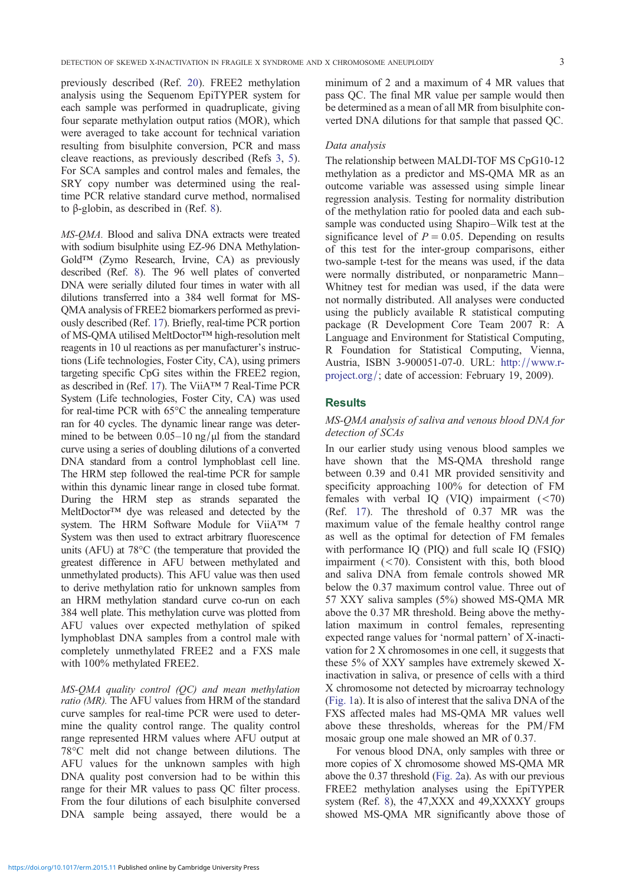previously described (Ref. 20). FREE2 methylation analysis using the Sequenom EpiTYPER system for each sample was performed in quadruplicate, giving four separate methylation output ratios (MOR), which were averaged to take acco[unt](#page-8-0) for technical variation resulting from bisulphite conversion, PCR and mass cleave reactions, as previously described (Refs 3, 5). For SCA samples and control males and females, the SRY copy number was determined using the realtime PCR relative standard curve method, normalised to β-globin, as described in (Ref. 8).

MS-QMA. Blood and saliva DNA extracts were treated with sodium bisulphite using EZ-96 DNA Methylation-Gold™ (Zymo Research, Irvine, CA) as previously described (Ref. 8). The 96 well plates of converted DNA were serially diluted four times in water with all dilutions transferred into a 384 well format for MS-QMA analysis of FREE2 biomarkers performed as previously described ([Re](#page-8-0)f. 17). Briefly, real-time PCR portion of MS-QMA utilised MeltDoctor™ high-resolution melt reagents in 10 ul reactions as per manufacturer's instructions (Life technologies, Foster City, CA), using primers targeting specific Cp[G s](#page-8-0)ites within the FREE2 region, as described in (Ref. 17). The ViiA™ 7 Real-Time PCR System (Life technologies, Foster City, CA) was used for real-time PCR with 65°C the annealing temperature ran for 40 cycles. The dynamic linear range was determined to be between  $0.05-10$  ng/ $\mu$ l from the standard curve using a series of doubling dilutions of a converted DNA standard from a control lymphoblast cell line. The HRM step followed the real-time PCR for sample within this dynamic linear range in closed tube format. During the HRM step as strands separated the MeltDoctor™ dye was released and detected by the system. The HRM Software Module for ViiA™ 7 System was then used to extract arbitrary fluorescence units (AFU) at 78°C (the temperature that provided the greatest difference in AFU between methylated and unmethylated products). This AFU value was then used to derive methylation ratio for unknown samples from an HRM methylation standard curve co-run on each 384 well plate. This methylation curve was plotted from AFU values over expected methylation of spiked lymphoblast DNA samples from a control male with completely unmethylated FREE2 and a FXS male with 100% methylated FREE2.

MS-QMA quality control (QC) and mean methylation ratio (MR). The AFU values from HRM of the standard curve samples for real-time PCR were used to determine the quality control range. The quality control range represented HRM values where AFU output at 78°C melt did not change between dilutions. The AFU values for the unknown samples with high DNA quality post conversion had to be within this range for their MR values to pass QC filter process. From the four dilutions of each bisulphite conversed DNA sample being assayed, there would be a

minimum of 2 and a maximum of 4 MR values that pass QC. The final MR value per sample would then be determined as a mean of all MR from bisulphite converted DNA dilutions for that sample that passed QC.

#### Data analysis

The relationship between MALDI-TOF MS CpG10-12 methylation as a predictor and MS-QMA MR as an outcome variable was assessed using simple linear regression analysis. Testing for normality distribution of the methylation ratio for pooled data and each subsample was conducted using Shapiro–Wilk test at the significance level of  $P = 0.05$ . Depending on results of this test for the inter-group comparisons, either two-sample t-test for the means was used, if the data were normally distributed, or nonparametric Mann– Whitney test for median was used, if the data were not normally distributed. All analyses were conducted using the publicly available R statistical computing package (R Development Core Team 2007 R: A Language and Environment for Statistical Computing, R Foundation for Statistical Computing, Vienna, Austria, ISBN 3-900051-07-0. URL: http://www.rproject.org/; date of accession: February 19, 2009).

## **Results**

## MS-QMA analysis of saliva and venous [blood](http://www.r-project.org/) [DNA](http://www.r-project.org/) [for](http://www.r-project.org/) [detection](http://www.r-project.org/) [of](http://www.r-project.org/) SCAs

In our earlier study using venous blood samples we have shown that the MS-QMA threshold range between 0.39 and 0.41 MR provided sensitivity and specificity approaching 100% for detection of FM females with verbal IQ (VIQ) impairment  $(< 70)$ (Ref. 17). The threshold of 0.37 MR was the maximum value of the female healthy control range as well as the optimal for detection of FM females with performance IQ (PIQ) and full scale IQ (FSIQ) impair[me](#page-8-0)nt  $( $70$ ). Consistent with this, both blood$ and saliva DNA from female controls showed MR below the 0.37 maximum control value. Three out of 57 XXY saliva samples (5%) showed MS-QMA MR above the 0.37 MR threshold. Being above the methylation maximum in control females, representing expected range values for 'normal pattern' of X-inactivation for 2 X chromosomes in one cell, it suggests that these 5% of XXY samples have extremely skewed Xinactivation in saliva, or presence of cells with a third X chromosome not detected by microarray technology (Fig. 1a). It is also of interest that the saliva DNA of the FXS affected males had MS-QMA MR values well above these thresholds, whereas for the PM/FM mosaic group one male showed an MR of 0.37.

[For](#page-3-0) venous blood DNA, only samples with three or more copies of X chromosome showed MS-QMA MR above the 0.37 threshold (Fig. 2a). As with our previous FREE2 methylation analyses using the EpiTYPER system (Ref. 8), the 47,XXX and 49,XXXXY groups showed MS-QMA MR significantly above those of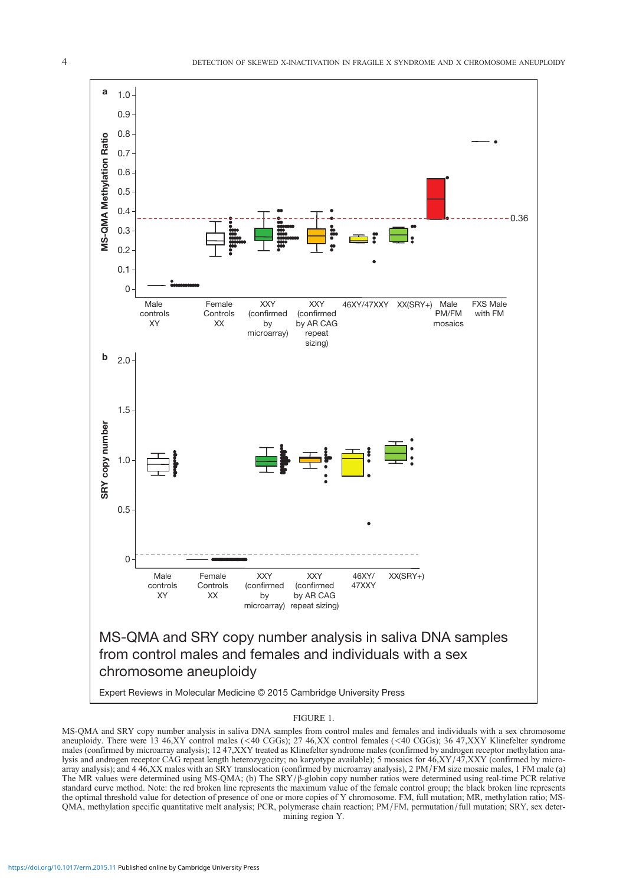<span id="page-3-0"></span>

#### FIGURE 1.

MS-QMA and SRY copy number analysis in saliva DNA samples from control males and females and individuals with a sex chromosome aneuploidy. There were 13 46,XY control males (<40 CGGs); 27 46,XX control females (<40 CGGs); 36 47,XXY Klinefelter syndrome males (confirmed by microarray analysis); 12 47, XXY treated as Klinefelter syndrome males (confirmed by androgen receptor methylation analysis and androgen receptor CAG repeat length heterozygocity; no karyotype available); 5 mosaics for 46,XY/47,XXY (confirmed by microarray analysis); and 4 46,XX males with an SRY translocation (confirmed by microarray analysis), 2 PM/FM size mosaic males, 1 FM male (a) The MR values were determined using MS-QMA; (b) The SRY/β-globin copy number ratios were determined using real-time PCR relative standard curve method. Note: the red broken line represents the maximum value of the female control group; the black broken line represents the optimal threshold value for detection of presence of one or more copies of Y chromosome. FM, full mutation; MR, methylation ratio; MS-QMA, methylation specific quantitative melt analysis; PCR, polymerase chain reaction; PM/FM, permutation/full mutation; SRY, sex determining region Y.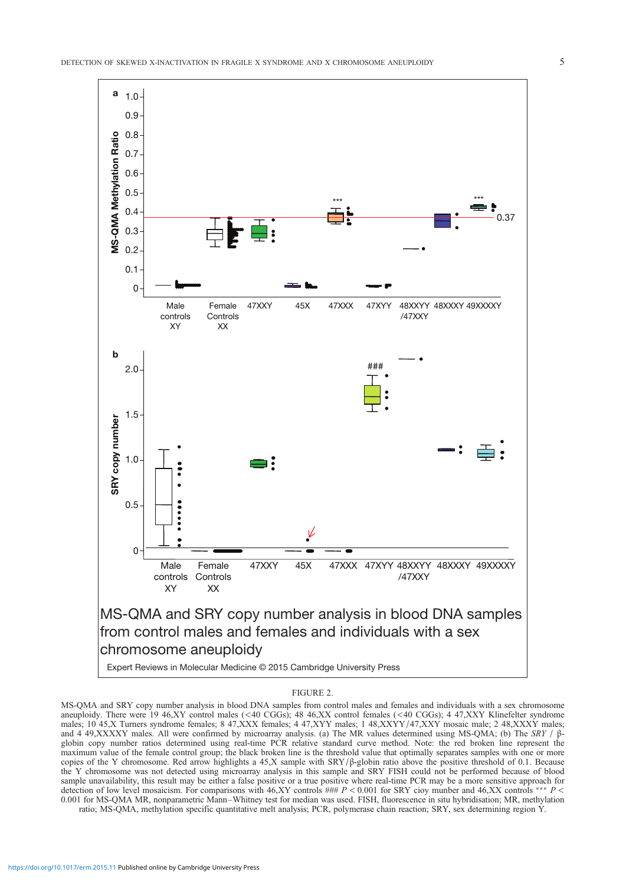<span id="page-4-0"></span>

#### FIGURE 2.

MS-QMA and SRY copy number analysis in blood DNA samples from control males and females and individuals with a sex chromosome aneuploidy. There were 19 46,XY control males (<40 CGGs); 48 46,XX control females (<40 CGGs); 4 47,XXY Klinefelter syndrome males; 10 45,X Turners syndrome females; 8 47,XXX females; 4 47,XYY males; 1 48,XXYY/47,XXY mosaic male; 2 48,XXXY males; and 4 49,XXXXY males. All were confirmed by microarray analysis. (a) The MR values determined using MS-QMA; (b) The SRY / βglobin copy number ratios determined using real-time PCR relative standard curve method. Note: the red broken line represent the maximum value of the female control group; the black broken line is the threshold value that optimally separates samples with one or more copies of the Y chromosome. Red arrow highlights a 45,X sample with  $SRY/\beta$ -globin ratio above the positive threshold of 0.1. Because the Y chromosome was not detected using microarray analysis in this sample and SRY FISH could not be performed because of blood sample unavailability, this result may be either a false positive or a true positive where real-time PCR may be a more sensitive approach for detection of low level mosaicism. For comparisons with 46,XY controls ###  $P < 0.001$  for SRY cioy munber and 46,XX controls \*\*\*  $P <$ 0.001 for MS-QMA MR, nonparametric Mann–Whitney test for median was used. FISH, fluorescence in situ hybridisation; MR, methylation

ratio; MS-QMA, methylation specific quantitative melt analysis; PCR, polymerase chain reaction; SRY, sex determining region Y.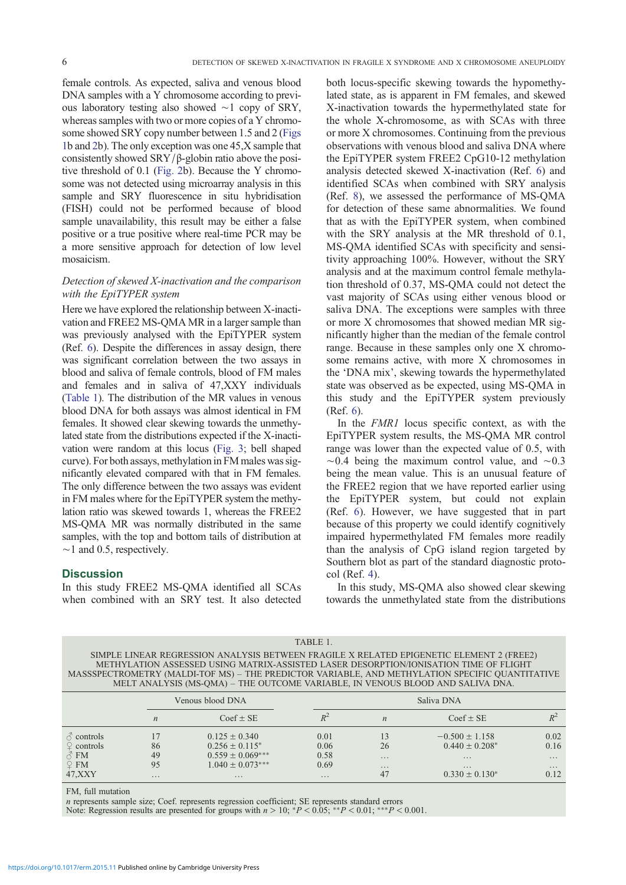female controls. As expected, saliva and venous blood DNA samples with a Y chromosome according to previous laboratory testing also showed ∼1 copy of SRY, whereas samples with two or more copies of a Y chromosome showed SRY copy number between 1.5 and 2 (Figs 1b and 2b). The only exception was one 45,X sample that consistently showed  $SRY/β$ -globin ratio above the positive threshold of 0.1 (Fig. 2b). Because the Y chromosome was not detected using microarray analysis in [this](#page-3-0) [sa](#page-3-0)mple and SRY fluorescence in situ hybridisation (FISH) could not be performed because of blood sample unavailability[, this r](#page-4-0)esult may be either a false positive or a true positive where real-time PCR may be a more sensitive approach for detection of low level mosaicism.

## Detection of skewed X-inactivation and the comparison with the EpiTYPER system

Here we have explored the relationship between X-inactivation and FREE2 MS-QMA MR in a larger sample than was previously analysed with the EpiTYPER system (Ref. 6). Despite the differences in assay design, there was significant correlation between the two assays in blood and saliva of female controls, blood of FM males and females and in saliva of 47,XXY individuals (Tabl[e](#page-8-0) 1). The distribution of the MR values in venous blood DNA for both assays was almost identical in FM females. It showed clear skewing towards the unmethylated state from the distributions expected if the X-inactivation were random at this locus (Fig. 3; bell shaped curve). For both assays, methylation in FM males was significantly elevated compared with that in FM females. The only difference between the two assays was evident in FM males where for the EpiTYPE[R syste](#page-6-0)m the methylation ratio was skewed towards 1, whereas the FREE2 MS-QMA MR was normally distributed in the same samples, with the top and bottom tails of distribution at  $~\sim$ 1 and 0.5, respectively.

## **Discussion**

In this study FREE2 MS-QMA identified all SCAs when combined with an SRY test. It also detected

both locus-specific skewing towards the hypomethylated state, as is apparent in FM females, and skewed X-inactivation towards the hypermethylated state for the whole X-chromosome, as with SCAs with three or more X chromosomes. Continuing from the previous observations with venous blood and saliva DNA where the EpiTYPER system FREE2 CpG10-12 methylation analysis detected skewed X-inactivation (Ref. 6) and identified SCAs when combined with SRY analysis (Ref. 8), we assessed the performance of MS-QMA for detection of these same abnormalities. We found that as with the EpiTYPER system, when co[mb](#page-8-0)ined with the SRY analysis at the MR threshold of 0.1, MS-[QM](#page-8-0)A identified SCAs with specificity and sensitivity approaching 100%. However, without the SRY analysis and at the maximum control female methylation threshold of 0.37, MS-QMA could not detect the vast majority of SCAs using either venous blood or saliva DNA. The exceptions were samples with three or more X chromosomes that showed median MR significantly higher than the median of the female control range. Because in these samples only one X chromosome remains active, with more X chromosomes in the 'DNA mix', skewing towards the hypermethylated state was observed as be expected, using MS-QMA in this study and the EpiTYPER system previously (Ref. 6).

In the FMR1 locus specific context, as with the EpiTYPER system results, the MS-QMA MR control range was lower than the expected value of 0.5, with ∼0.4 [b](#page-8-0)eing the maximum control value, and ∼0.3 being the mean value. This is an unusual feature of the FREE2 region that we have reported earlier using the EpiTYPER system, but could not explain (Ref. 6). However, we have suggested that in part because of this property we could identify cognitively impaired hypermethylated FM females more readily than the analysis of CpG island region targeted by South[er](#page-8-0)n blot as part of the standard diagnostic protocol (Ref. 4).

In this study, MS-QMA also showed clear skewing towards the unmethylated state from the distributions

| TABLE 1.                                                                                                                                                                                                                                                                                                                                                               |                  |                      |          |                  |                     |          |  |
|------------------------------------------------------------------------------------------------------------------------------------------------------------------------------------------------------------------------------------------------------------------------------------------------------------------------------------------------------------------------|------------------|----------------------|----------|------------------|---------------------|----------|--|
| SIMPLE LINEAR REGRESSION ANALYSIS BETWEEN FRAGILE X RELATED EPIGENETIC ELEMENT 2 (FREE2)<br>METHYLATION ASSESSED USING MATRIX-ASSISTED LASER DESORPTION/IONISATION TIME OF FLIGHT<br>MASSSPECTROMETRY (MALDI-TOF MS) - THE PREDICTOR VARIABLE, AND METHYLATION SPECIFIC QUANTITATIVE<br>MELT ANALYSIS (MS-QMA) - THE OUTCOME VARIABLE, IN VENOUS BLOOD AND SALIVA DNA. |                  |                      |          |                  |                     |          |  |
|                                                                                                                                                                                                                                                                                                                                                                        |                  | Venous blood DNA     |          | Saliva DNA       |                     |          |  |
|                                                                                                                                                                                                                                                                                                                                                                        | $\boldsymbol{n}$ | $Coef \pm SE$        | $R^2$    | $\boldsymbol{n}$ | $Coef \pm SE$       | $R^2$    |  |
| $\sigma$ controls                                                                                                                                                                                                                                                                                                                                                      |                  | $0.125 \pm 0.340$    | 0.01     | 13               | $-0.500 \pm 1.158$  | 0.02     |  |
| $\mathcal{Q}$ controls                                                                                                                                                                                                                                                                                                                                                 | 86               | $0.256 \pm 0.115^*$  | 0.06     | 26               | $0.440 \pm 0.208^*$ | 0.16     |  |
| $\sigma$ FM                                                                                                                                                                                                                                                                                                                                                            | 49               | $0.559 \pm 0.069***$ | 0.58     | $\cdots$         | $\cdots$            | $\cdots$ |  |
| $\mathcal{Q}$ FM                                                                                                                                                                                                                                                                                                                                                       | 95               | $1.040 \pm 0.073***$ | 0.69     | $\cdots$         | $\cdots$            | $\cdots$ |  |
| 47, XXY                                                                                                                                                                                                                                                                                                                                                                | $\cdots$         | $\cdots$             | $\cdots$ | 47               | $0.330 \pm 0.130^*$ | 0.12     |  |

FM, full mutation

n represents sample size; Coef. represents regression coefficient; SE represents standard errors

Note: Regression results are presented for groups with  $n > 10$ ;  $*P < 0.05$ ; \*\* $P < 0.01$ ; \*\*\* $P < 0.001$ .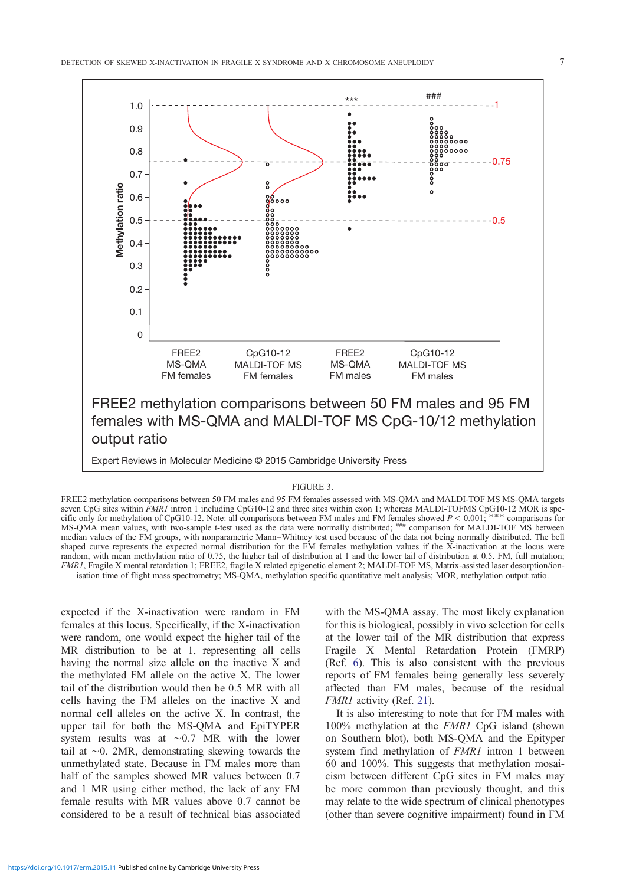<span id="page-6-0"></span>

#### FIGURE 3.

FREE2 methylation comparisons between 50 FM males and 95 FM females assessed with MS-QMA and MALDI-TOF MS MS-QMA targets seven CpG sites within FMR1 intron 1 including CpG10-12 and three sites within exon 1; whereas MALDI-TOFMS CpG10-12 MOR is specific only for methylation of CpG10-12. Note: all comparisons between FM males and FM females showed  $P < 0.001$ ; \*\*\* comparisons for MS-QMA mean values, with two-sample t-test used as the data were normally distributed;  $\frac{1+\mu}{2}$  comparison for MALDI-TOF MS between median values of the FM groups, with nonparametric Mann–Whitney test used because of the data not being normally distributed. The bell shaped curve represents the expected normal distribution for the FM females methylation values if the X-inactivation at the locus were random, with mean methylation ratio of 0.75, the higher tail of distribution at 1 and the lower tail of distribution at 0.5. FM, full mutation; FMR1, Fragile X mental retardation 1; FREE2, fragile X related epigenetic element 2; MALDI-TOF MS, Matrix-assisted laser desorption/ionisation time of flight mass spectrometry; MS-QMA, methylation specific quantitative melt analysis; MOR, methylation output ratio.

expected if the X-inactivation were random in FM females at this locus. Specifically, if the X-inactivation were random, one would expect the higher tail of the MR distribution to be at 1, representing all cells having the normal size allele on the inactive X and the methylated FM allele on the active X. The lower tail of the distribution would then be 0.5 MR with all cells having the FM alleles on the inactive X and normal cell alleles on the active X. In contrast, the upper tail for both the MS-QMA and EpiTYPER system results was at ∼0.7 MR with the lower tail at ∼0. 2MR, demonstrating skewing towards the unmethylated state. Because in FM males more than half of the samples showed MR values between 0.7 and 1 MR using either method, the lack of any FM female results with MR values above 0.7 cannot be considered to be a result of technical bias associated

with the MS-QMA assay. The most likely explanation for this is biological, possibly in vivo selection for cells at the lower tail of the MR distribution that express Fragile X Mental Retardation Protein (FMRP) (Ref. 6). This is also consistent with the previous reports of FM females being generally less severely affected than FM males, because of the residual FMR1 activity (Ref. 21).

It i[s a](#page-8-0)lso interesting to note that for FM males with 100% methylation at the FMR1 CpG island (shown on Southern blot), both MS-QMA and the Epityper system find methyl[atio](#page-8-0)n of *FMR1* intron 1 between 60 and 100%. This suggests that methylation mosaicism between different CpG sites in FM males may be more common than previously thought, and this may relate to the wide spectrum of clinical phenotypes (other than severe cognitive impairment) found in FM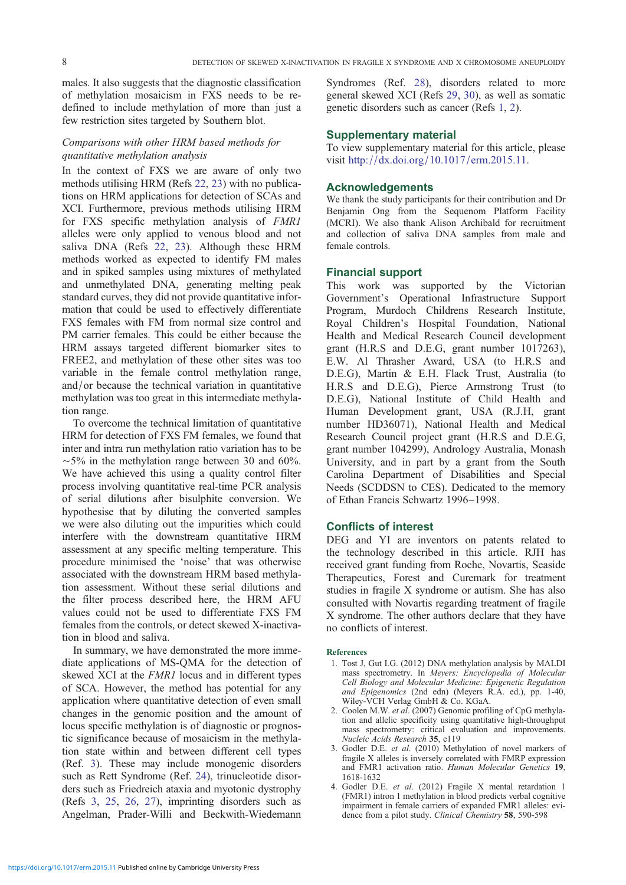<span id="page-7-0"></span>males. It also suggests that the diagnostic classification of methylation mosaicism in FXS needs to be redefined to include methylation of more than just a few restriction sites targeted by Southern blot.

## Comparisons with other HRM based methods for quantitative methylation analysis

In the context of FXS we are aware of only two methods utilising HRM (Refs 22, 23) with no publications on HRM applications for detection of SCAs and XCI. Furthermore, previous methods utilising HRM for FXS specific methylation analysis of FMR1 alleles were only applied to [venou](#page-8-0)s blood and not saliva DNA (Refs 22, 23). Although these HRM methods worked as expected to identify FM males and in spiked samples using mixtures of methylated and unmethylated DNA, generating melting peak standard curves, they [did](#page-8-0) [not](#page-8-0) provide quantitative information that could be used to effectively differentiate FXS females with FM from normal size control and PM carrier females. This could be either because the HRM assays targeted different biomarker sites to FREE2, and methylation of these other sites was too variable in the female control methylation range, and/or because the technical variation in quantitative methylation was too great in this intermediate methylation range.

To overcome the technical limitation of quantitative HRM for detection of FXS FM females, we found that inter and intra run methylation ratio variation has to be  $~\sim$ 5% in the methylation range between 30 and 60%. We have achieved this using a quality control filter process involving quantitative real-time PCR analysis of serial dilutions after bisulphite conversion. We hypothesise that by diluting the converted samples we were also diluting out the impurities which could interfere with the downstream quantitative HRM assessment at any specific melting temperature. This procedure minimised the 'noise' that was otherwise associated with the downstream HRM based methylation assessment. Without these serial dilutions and the filter process described here, the HRM AFU values could not be used to differentiate FXS FM females from the controls, or detect skewed X-inactivation in blood and saliva.

In summary, we have demonstrated the more immediate applications of MS-QMA for the detection of skewed XCI at the *FMR1* locus and in different types of SCA. However, the method has potential for any application where quantitative detection of even small changes in the genomic position and the amount of locus specific methylation is of diagnostic or prognostic significance because of mosaicism in the methylation state within and between different cell types (Ref. 3). These may include monogenic disorders such as Rett Syndrome (Ref. 24), trinucleotide disorders such as Friedreich ataxia and myotonic dystrophy (Refs 3, 25, 26, 27), imprinting disorders such as Angelman, Prader-Willi and Beckwith-Wiedemann Syndromes (Ref. 28), disorders related to more general skewed XCI (Refs 29, 30), as well as somatic genetic disorders such as cancer (Refs 1, 2).

# Supplementary [ma](#page-8-0)terial

To view supplementary ma[terial fo](#page-8-0)r this article, please visit http://dx.doi.org/10.1017/erm.2015.11.

# Acknowledgements

We thank the study participants for their contribution and Dr Benj[amin Ong from th](http://dx.doi.org/)[e Sequenom Platform](http://10.1017/erm.2015.11) Facility (MCRI). We also thank Alison Archibald for recruitment and collection of saliva DNA samples from male and female controls.

# Financial support

This work was supported by the Victorian Government's Operational Infrastructure Support Program, Murdoch Childrens Research Institute, Royal Children's Hospital Foundation, National Health and Medical Research Council development grant (H.R.S and D.E.G, grant number 1017263), E.W. Al Thrasher Award, USA (to H.R.S and D.E.G), Martin & E.H. Flack Trust, Australia (to H.R.S and D.E.G), Pierce Armstrong Trust (to D.E.G), National Institute of Child Health and Human Development grant, USA (R.J.H, grant number HD36071), National Health and Medical Research Council project grant (H.R.S and D.E.G, grant number 104299), Andrology Australia, Monash University, and in part by a grant from the South Carolina Department of Disabilities and Special Needs (SCDDSN to CES). Dedicated to the memory of Ethan Francis Schwartz 1996–1998.

# Conflicts of interest

DEG and YI are inventors on patents related to the technology described in this article. RJH has received grant funding from Roche, Novartis, Seaside Therapeutics, Forest and Curemark for treatment studies in fragile X syndrome or autism. She has also consulted with Novartis regarding treatment of fragile X syndrome. The other authors declare that they have no conflicts of interest.

## References

- 1. Tost J, Gut I.G. (2012) DNA methylation analysis by MALDI mass spectrometry. In Meyers: Encyclopedia of Molecular Cell Biology and Molecular Medicine: Epigenetic Regulation and Epigenomics (2nd edn) (Meyers R.A. ed.), pp. 1-40, Wiley-VCH Verlag GmbH & Co. KGaA.
- 2. Coolen M.W. et al. (2007) Genomic profiling of CpG methylation and allelic specificity using quantitative high-throughput mass spectrometry: critical evaluation and improvements. Nucleic Acids Research 35, e119
- 3. Godler D.E. et al. (2010) Methylation of novel markers of fragile X alleles is inversely correlated with FMRP expression and FMR1 activation ratio. Human Molecular Genetics 19, 1618-1632
- 4. Godler D.E. et al. (2012) Fragile X mental retardation 1 (FMR1) intron 1 methylation in blood predicts verbal cognitive impairment in female carriers of expanded FMR1 alleles: evidence from a pilot study. Clinical Chemistry 58, 590-598